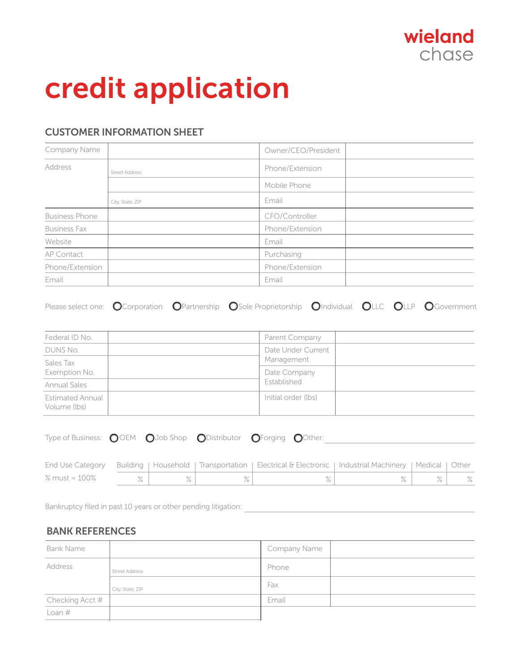

# credit application

## CUSTOMER INFORMATION SHEET

| Company Name          |                       | Owner/CEO/President |  |
|-----------------------|-----------------------|---------------------|--|
| Address               | <b>Street Address</b> | Phone/Extension     |  |
|                       |                       | Mobile Phone        |  |
|                       | City, State, ZIP      | Email               |  |
| <b>Business Phone</b> |                       | CFO/Controller      |  |
| <b>Business Fax</b>   |                       | Phone/Extension     |  |
| Website               |                       | Email               |  |
| AP Contact            |                       | Purchasing          |  |
| Phone/Extension       |                       | Phone/Extension     |  |
| Email                 |                       | Email               |  |

|  |  |  | Please select one: O Corporation O Partnership O Sole Proprietorship O Individual OLLC OLLP O Government |  |  |  |  |
|--|--|--|----------------------------------------------------------------------------------------------------------|--|--|--|--|
|--|--|--|----------------------------------------------------------------------------------------------------------|--|--|--|--|

| Federal ID No.                          |  | Parent Company      |  |
|-----------------------------------------|--|---------------------|--|
| DUNS No.                                |  | Date Under Current  |  |
| Sales Tax                               |  | Management          |  |
| Exemption No.                           |  | Date Company        |  |
| <b>Annual Sales</b>                     |  | Established         |  |
| <b>Estimated Annual</b><br>Volume (lbs) |  | Initial order (lbs) |  |

| Type of Business: OOEM OJob Shop ODistributor OForging OOther: |  |  |  |
|----------------------------------------------------------------|--|--|--|
|                                                                |  |  |  |

|               |  | End Use Category Building   Household   Transportation   Electrical & Electronic   Industrial Machinery   Medical   Other |  |  |
|---------------|--|---------------------------------------------------------------------------------------------------------------------------|--|--|
| % must = 100% |  |                                                                                                                           |  |  |

Bankruptcy filed in past 10 years or other pending litigation:

## BANK REFERENCES

| <b>Bank Name</b> |                       | Company Name |  |
|------------------|-----------------------|--------------|--|
| Address          | <b>Street Address</b> | Phone        |  |
|                  | City, State, ZIP      | Fax          |  |
| Checking Acct #  |                       | Email        |  |
| Loan $#$         |                       |              |  |